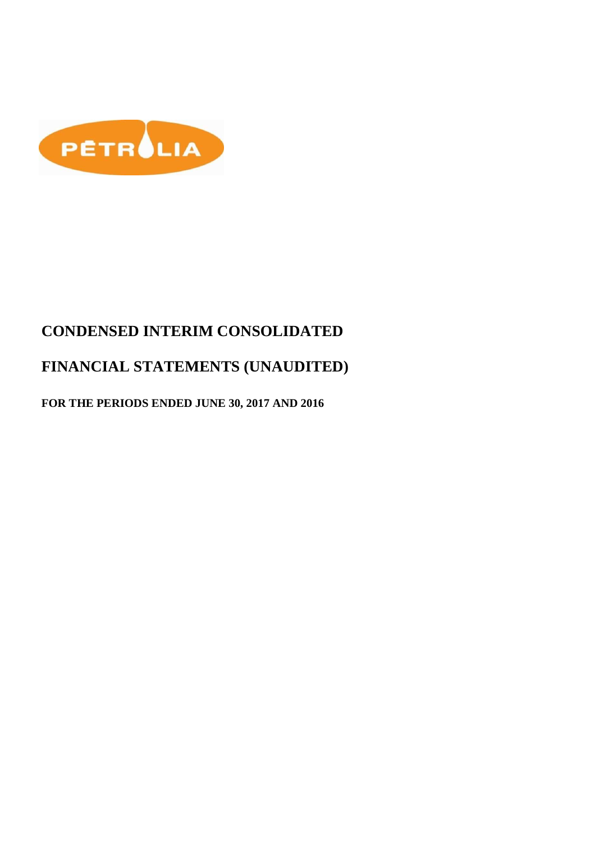

# **CONDENSED INTERIM CONSOLIDATED**

# **FINANCIAL STATEMENTS (UNAUDITED)**

## **FOR THE PERIODS ENDED JUNE 30, 2017 AND 2016**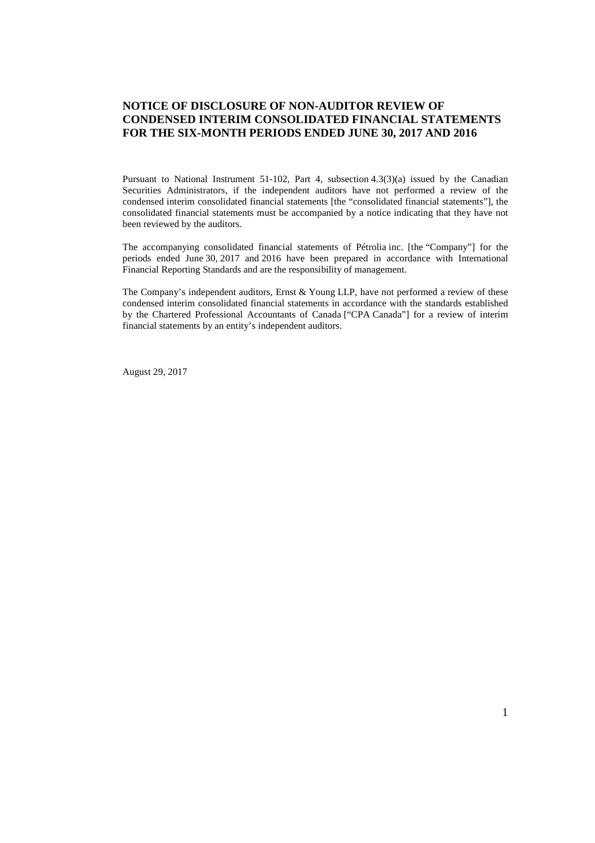### **NOTICE OF DISCLOSURE OF NON-AUDITOR REVIEW OF CONDENSED INTERIM CONSOLIDATED FINANCIAL STATEMENTS FOR THE SIX-MONTH PERIODS ENDED JUNE 30, 2017 AND 2016**

Pursuant to National Instrument 51-102, Part 4, subsection 4.3(3)(a) issued by the Canadian Securities Administrators, if the independent auditors have not performed a review of the condensed interim consolidated financial statements [the "consolidated financial statements"], the consolidated financial statements must be accompanied by a notice indicating that they have not been reviewed by the auditors.

The accompanying consolidated financial statements of Pétrolia inc. [the "Company"] for the periods ended June 30, 2017 and 2016 have been prepared in accordance with International Financial Reporting Standards and are the responsibility of management.

The Company's independent auditors, Ernst & Young LLP, have not performed a review of these condensed interim consolidated financial statements in accordance with the standards established by the Chartered Professional Accountants of Canada ["CPA Canada"] for a review of interim financial statements by an entity's independent auditors.

August 29, 2017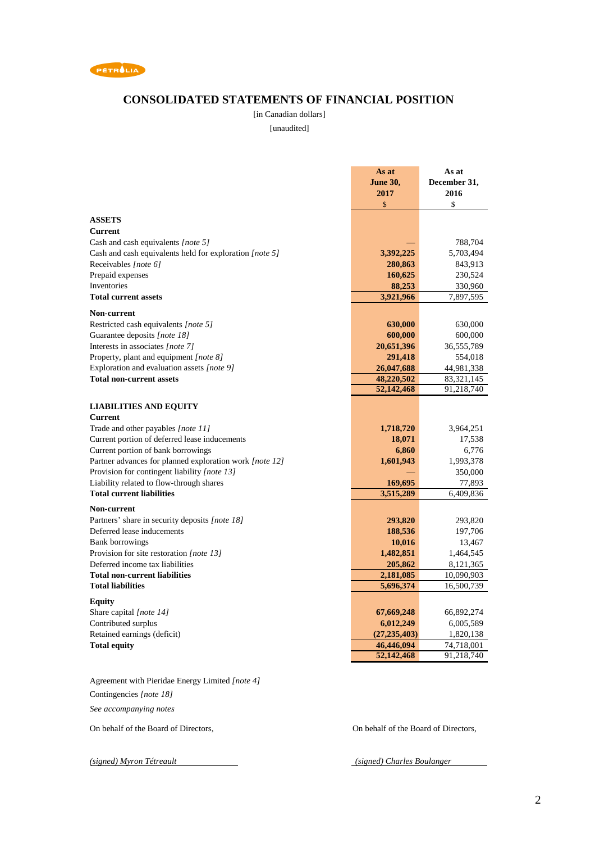

### **CONSOLIDATED STATEMENTS OF FINANCIAL POSITION**

[in Canadian dollars]

[unaudited]

|                                                         | As at           | As at        |
|---------------------------------------------------------|-----------------|--------------|
|                                                         | <b>June 30,</b> | December 31, |
|                                                         | 2017            | 2016         |
|                                                         | \$              | \$           |
| <b>ASSETS</b>                                           |                 |              |
| Current                                                 |                 |              |
| Cash and cash equivalents [note 5]                      |                 | 788,704      |
| Cash and cash equivalents held for exploration [note 5] | 3,392,225       | 5,703,494    |
| Receivables [note 6]                                    | 280,863         | 843,913      |
| Prepaid expenses                                        | 160,625         | 230,524      |
| Inventories                                             | 88,253          | 330,960      |
| <b>Total current assets</b>                             | 3,921,966       | 7,897,595    |
|                                                         |                 |              |
| <b>Non-current</b>                                      |                 |              |
| Restricted cash equivalents [note 5]                    | 630,000         | 630,000      |
| Guarantee deposits [note 18]                            | 600,000         | 600,000      |
| Interests in associates [note 7]                        | 20,651,396      | 36,555,789   |
| Property, plant and equipment [note 8]                  | 291,418         | 554,018      |
| Exploration and evaluation assets [note 9]              | 26,047,688      | 44,981,338   |
| <b>Total non-current assets</b>                         | 48,220,502      | 83,321,145   |
|                                                         | 52,142,468      | 91,218,740   |
| <b>LIABILITIES AND EQUITY</b>                           |                 |              |
| <b>Current</b>                                          |                 |              |
| Trade and other payables [note 11]                      | 1,718,720       | 3,964,251    |
| Current portion of deferred lease inducements           | 18,071          | 17,538       |
| Current portion of bank borrowings                      | 6,860           | 6,776        |
| Partner advances for planned exploration work [note 12] | 1,601,943       | 1,993,378    |
| Provision for contingent liability [note 13]            |                 | 350,000      |
| Liability related to flow-through shares                | 169,695         | 77,893       |
| <b>Total current liabilities</b>                        | 3,515,289       | 6,409,836    |
|                                                         |                 |              |
| Non-current                                             |                 |              |
| Partners' share in security deposits [note 18]          | 293,820         | 293,820      |
| Deferred lease inducements                              | 188,536         | 197,706      |
| <b>Bank borrowings</b>                                  | 10,016          | 13,467       |
| Provision for site restoration [note 13]                | 1,482,851       | 1,464,545    |
| Deferred income tax liabilities                         | 205,862         | 8,121,365    |
| <b>Total non-current liabilities</b>                    | 2,181,085       | 10,090,903   |
| <b>Total liabilities</b>                                | 5,696,374       | 16,500,739   |
| <b>Equity</b>                                           |                 |              |
| Share capital [note 14]                                 | 67,669,248      | 66,892,274   |
| Contributed surplus                                     | 6,012,249       | 6,005,589    |
| Retained earnings (deficit)                             | (27, 235, 403)  | 1,820,138    |
| <b>Total equity</b>                                     | 46,446,094      | 74,718,001   |
|                                                         | 52,142,468      | 91,218,740   |
|                                                         |                 |              |

Agreement with Pieridae Energy Limited *[note 4]* Contingencies *[note 18]*

*See accompanying notes*

On behalf of the Board of Directors, On behalf of the Board of Directors,

*(signed) Myron Tétreault (signed) Charles Boulanger*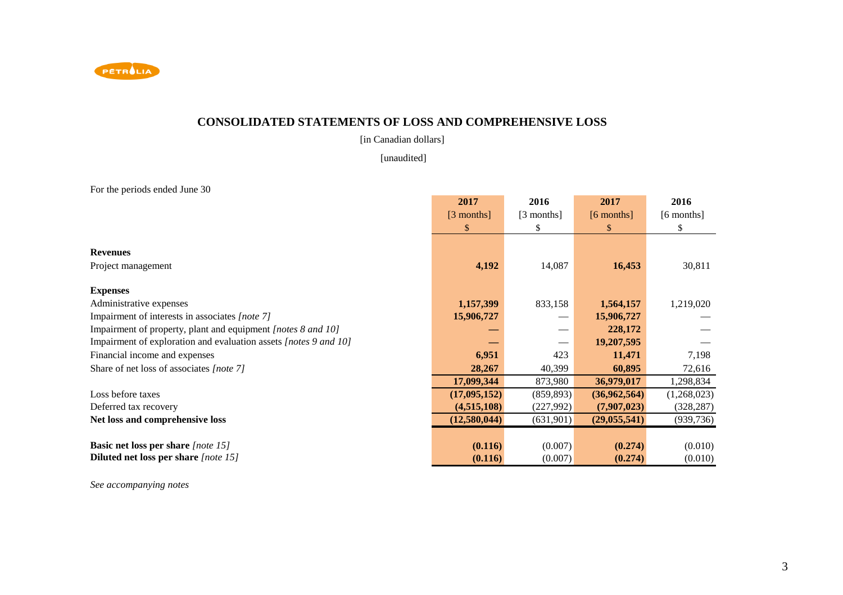

### **CONSOLIDATED STATEMENTS OF LOSS AND COMPREHENSIVE LOSS**

[in Canadian dollars]

[unaudited]

For the periods ended June 30

|                                                                  | 2017         | 2016       | 2017           | 2016        |
|------------------------------------------------------------------|--------------|------------|----------------|-------------|
|                                                                  | $[3$ months] | [3 months] | $[6$ months]   | [6 months]  |
|                                                                  | \$           | S          | $\mathbb{S}$   | S           |
|                                                                  |              |            |                |             |
| <b>Revenues</b>                                                  |              |            |                |             |
| Project management                                               | 4,192        | 14,087     | 16,453         | 30,811      |
| <b>Expenses</b>                                                  |              |            |                |             |
| Administrative expenses                                          | 1,157,399    | 833,158    | 1,564,157      | 1,219,020   |
| Impairment of interests in associates [note 7]                   | 15,906,727   |            | 15,906,727     |             |
| Impairment of property, plant and equipment [notes 8 and 10]     |              |            | 228,172        |             |
| Impairment of exploration and evaluation assets [notes 9 and 10] |              |            | 19,207,595     |             |
| Financial income and expenses                                    | 6,951        | 423        | 11,471         | 7,198       |
| Share of net loss of associates [note 7]                         | 28,267       | 40,399     | 60,895         | 72,616      |
|                                                                  | 17,099,344   | 873,980    | 36,979,017     | 1,298,834   |
| Loss before taxes                                                | (17,095,152) | (859, 893) | (36,962,564)   | (1,268,023) |
| Deferred tax recovery                                            | (4,515,108)  | (227,992)  | (7,907,023)    | (328, 287)  |
| Net loss and comprehensive loss                                  | (12,580,044) | (631,901)  | (29, 055, 541) | (939, 736)  |
|                                                                  |              |            |                |             |
| <b>Basic net loss per share</b> [note 15]                        | (0.116)      | (0.007)    | (0.274)        | (0.010)     |
| <b>Diluted net loss per share</b> [note 15]                      | (0.116)      | (0.007)    | (0.274)        | (0.010)     |

*See accompanying notes*

٠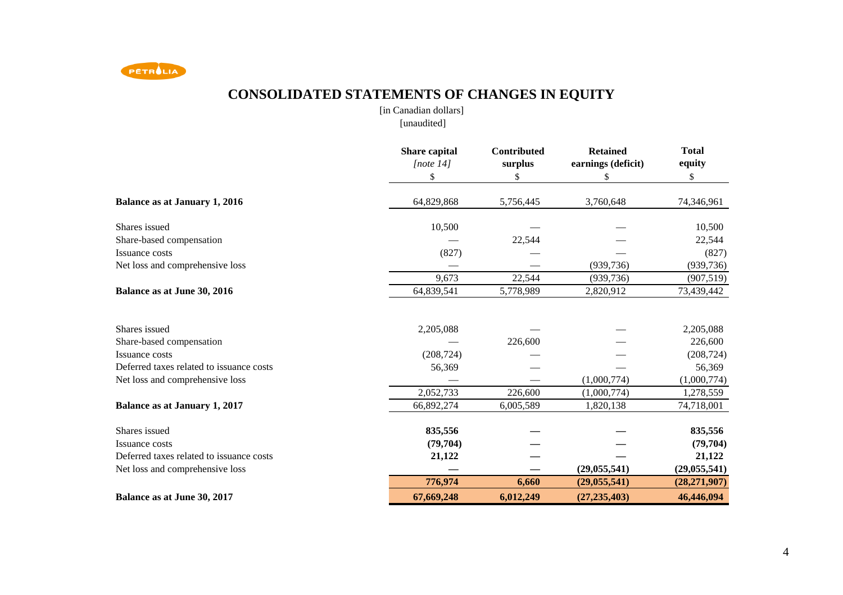

# **CONSOLIDATED STATEMENTS OF CHANGES IN EQUITY**

[in Canadian dollars][unaudited]

|                                          | Share capital<br>[note 14]<br>\$ | Contributed<br>surplus<br>\$ | <b>Retained</b><br>earnings (deficit)<br>\$ | <b>Total</b><br>equity<br>\$ |
|------------------------------------------|----------------------------------|------------------------------|---------------------------------------------|------------------------------|
| <b>Balance as at January 1, 2016</b>     | 64,829,868                       | 5,756,445                    | 3,760,648                                   | 74,346,961                   |
| Shares issued                            | 10,500                           |                              |                                             | 10,500                       |
| Share-based compensation                 |                                  | 22,544                       |                                             | 22,544                       |
| Issuance costs                           | (827)                            |                              |                                             | (827)                        |
| Net loss and comprehensive loss          |                                  |                              | (939, 736)                                  | (939, 736)                   |
|                                          | 9,673                            | 22,544                       | (939, 736)                                  | (907, 519)                   |
| Balance as at June 30, 2016              | 64,839,541                       | 5,778,989                    | 2,820,912                                   | 73,439,442                   |
| Shares issued                            | 2,205,088                        |                              |                                             | 2,205,088                    |
| Share-based compensation                 |                                  | 226,600                      |                                             | 226,600                      |
| Issuance costs                           | (208, 724)                       |                              |                                             | (208, 724)                   |
| Deferred taxes related to issuance costs | 56,369                           |                              |                                             | 56,369                       |
| Net loss and comprehensive loss          |                                  |                              | (1,000,774)                                 | (1,000,774)                  |
|                                          | 2,052,733                        | 226,600                      | (1,000,774)                                 | 1,278,559                    |
| <b>Balance as at January 1, 2017</b>     | 66,892,274                       | 6,005,589                    | 1,820,138                                   | 74,718,001                   |
| Shares issued                            | 835,556                          |                              |                                             | 835,556                      |
| Issuance costs                           | (79, 704)                        |                              |                                             | (79, 704)                    |
| Deferred taxes related to issuance costs | 21,122                           |                              |                                             | 21,122                       |
| Net loss and comprehensive loss          |                                  |                              | (29, 055, 541)                              | (29, 055, 541)               |
|                                          | 776,974                          | 6,660                        | (29, 055, 541)                              | (28, 271, 907)               |
| Balance as at June 30, 2017              | 67,669,248                       | 6,012,249                    | (27, 235, 403)                              | 46,446,094                   |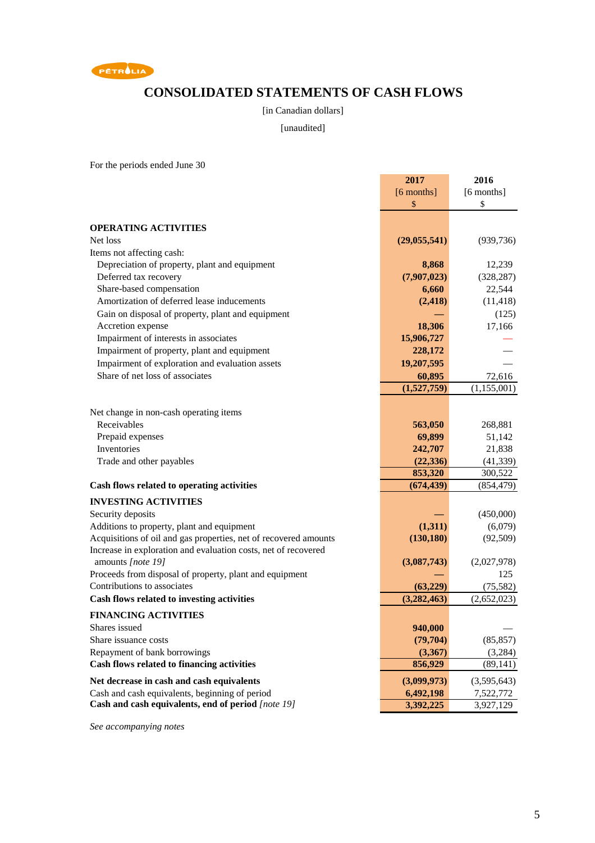

## **CONSOLIDATED STATEMENTS OF CASH FLOWS**

[in Canadian dollars]

[unaudited]

For the periods ended June 30

|                                                                  | 2017           | 2016         |
|------------------------------------------------------------------|----------------|--------------|
|                                                                  | $[6$ months]   | $[6$ months] |
|                                                                  | \$             | \$           |
|                                                                  |                |              |
| <b>OPERATING ACTIVITIES</b>                                      |                |              |
| Net loss                                                         | (29, 055, 541) | (939, 736)   |
| Items not affecting cash:                                        |                |              |
| Depreciation of property, plant and equipment                    | 8,868          | 12,239       |
| Deferred tax recovery                                            | (7,907,023)    | (328, 287)   |
| Share-based compensation                                         | 6,660          | 22,544       |
| Amortization of deferred lease inducements                       | (2, 418)       | (11, 418)    |
| Gain on disposal of property, plant and equipment                |                | (125)        |
| Accretion expense                                                | 18,306         | 17,166       |
| Impairment of interests in associates                            | 15,906,727     |              |
| Impairment of property, plant and equipment                      | 228,172        |              |
| Impairment of exploration and evaluation assets                  | 19,207,595     |              |
| Share of net loss of associates                                  | 60,895         | 72,616       |
|                                                                  | (1,527,759)    | (1,155,001)  |
|                                                                  |                |              |
| Net change in non-cash operating items                           |                |              |
| Receivables                                                      | 563,050        | 268,881      |
| Prepaid expenses                                                 | 69,899         | 51,142       |
| Inventories                                                      | 242,707        | 21,838       |
| Trade and other payables                                         | (22, 336)      | (41, 339)    |
|                                                                  | 853,320        | 300,522      |
| Cash flows related to operating activities                       | (674, 439)     | (854, 479)   |
|                                                                  |                |              |
| <b>INVESTING ACTIVITIES</b>                                      |                |              |
| Security deposits                                                |                | (450,000)    |
| Additions to property, plant and equipment                       | (1,311)        | (6,079)      |
| Acquisitions of oil and gas properties, net of recovered amounts | (130, 180)     | (92, 509)    |
| Increase in exploration and evaluation costs, net of recovered   |                |              |
| amounts [note 19]                                                | (3,087,743)    | (2,027,978)  |
| Proceeds from disposal of property, plant and equipment          |                | 125          |
| Contributions to associates                                      | (63, 229)      | (75, 582)    |
| Cash flows related to investing activities                       | (3, 282, 463)  | (2,652,023)  |
| <b>FINANCING ACTIVITIES</b>                                      |                |              |
| Shares issued                                                    | 940,000        |              |
| Share issuance costs                                             | (79, 704)      | (85, 857)    |
| Repayment of bank borrowings                                     | (3,367)        | (3,284)      |
| Cash flows related to financing activities                       | 856,929        | (89, 141)    |
| Net decrease in cash and cash equivalents                        | (3,099,973)    | (3,595,643)  |
| Cash and cash equivalents, beginning of period                   | 6,492,198      | 7,522,772    |
| Cash and cash equivalents, end of period [note 19]               | 3,392,225      | 3,927,129    |
|                                                                  |                |              |

*See accompanying notes*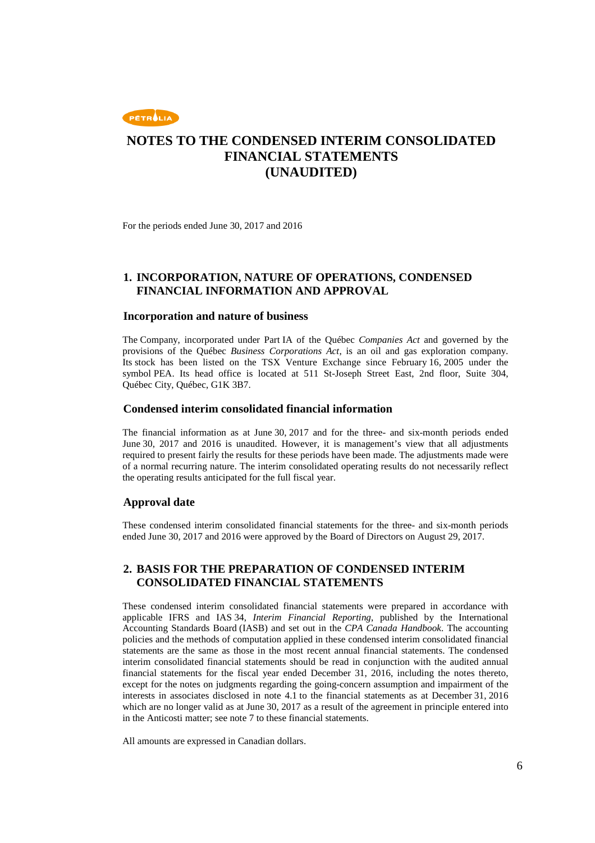

For the periods ended June 30, 2017 and 2016

### **1. INCORPORATION, NATURE OF OPERATIONS, CONDENSED FINANCIAL INFORMATION AND APPROVAL**

#### **Incorporation and nature of business**

The Company, incorporated under Part IA of the Québec *Companies Act* and governed by the provisions of the Québec *Business Corporations Act*, is an oil and gas exploration company. Its stock has been listed on the TSX Venture Exchange since February 16, 2005 under the symbol PEA. Its head office is located at 511 St-Joseph Street East, 2nd floor, Suite 304, Québec City, Québec, G1K 3B7.

#### **Condensed interim consolidated financial information**

The financial information as at June 30, 2017 and for the three- and six-month periods ended June 30, 2017 and 2016 is unaudited. However, it is management's view that all adjustments required to present fairly the results for these periods have been made. The adjustments made were of a normal recurring nature. The interim consolidated operating results do not necessarily reflect the operating results anticipated for the full fiscal year.

#### **Approval date**

These condensed interim consolidated financial statements for the three- and six-month periods ended June 30, 2017 and 2016 were approved by the Board of Directors on August 29, 2017.

### **2. BASIS FOR THE PREPARATION OF CONDENSED INTERIM CONSOLIDATED FINANCIAL STATEMENTS**

These condensed interim consolidated financial statements were prepared in accordance with applicable IFRS and IAS 34, *Interim Financial Reporting*, published by the International Accounting Standards Board (IASB) and set out in the *CPA Canada Handbook*. The accounting policies and the methods of computation applied in these condensed interim consolidated financial statements are the same as those in the most recent annual financial statements. The condensed interim consolidated financial statements should be read in conjunction with the audited annual financial statements for the fiscal year ended December 31, 2016, including the notes thereto, except for the notes on judgments regarding the going-concern assumption and impairment of the interests in associates disclosed in note 4.1 to the financial statements as at December 31, 2016 which are no longer valid as at June 30, 2017 as a result of the agreement in principle entered into in the Anticosti matter; see note 7 to these financial statements.

All amounts are expressed in Canadian dollars.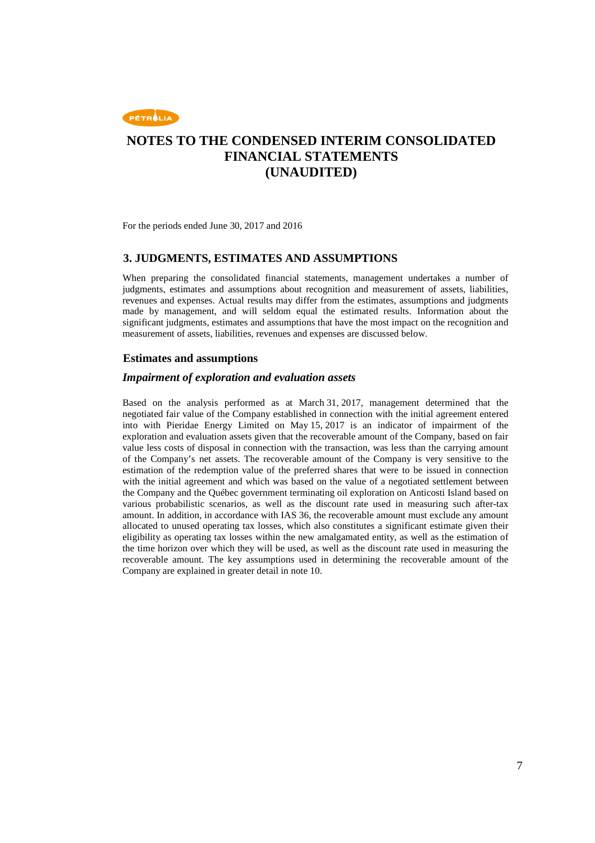

For the periods ended June 30, 2017 and 2016

### **3. JUDGMENTS, ESTIMATES AND ASSUMPTIONS**

When preparing the consolidated financial statements, management undertakes a number of judgments, estimates and assumptions about recognition and measurement of assets, liabilities, revenues and expenses. Actual results may differ from the estimates, assumptions and judgments made by management, and will seldom equal the estimated results. Information about the significant judgments, estimates and assumptions that have the most impact on the recognition and measurement of assets, liabilities, revenues and expenses are discussed below.

### **Estimates and assumptions**

#### *Impairment of exploration and evaluation assets*

Based on the analysis performed as at March 31, 2017, management determined that the negotiated fair value of the Company established in connection with the initial agreement entered into with Pieridae Energy Limited on May 15, 2017 is an indicator of impairment of the exploration and evaluation assets given that the recoverable amount of the Company, based on fair value less costs of disposal in connection with the transaction, was less than the carrying amount of the Company's net assets. The recoverable amount of the Company is very sensitive to the estimation of the redemption value of the preferred shares that were to be issued in connection with the initial agreement and which was based on the value of a negotiated settlement between the Company and the Québec government terminating oil exploration on Anticosti Island based on various probabilistic scenarios, as well as the discount rate used in measuring such after-tax amount. In addition, in accordance with IAS 36, the recoverable amount must exclude any amount allocated to unused operating tax losses, which also constitutes a significant estimate given their eligibility as operating tax losses within the new amalgamated entity, as well as the estimation of the time horizon over which they will be used, as well as the discount rate used in measuring the recoverable amount. The key assumptions used in determining the recoverable amount of the Company are explained in greater detail in note 10.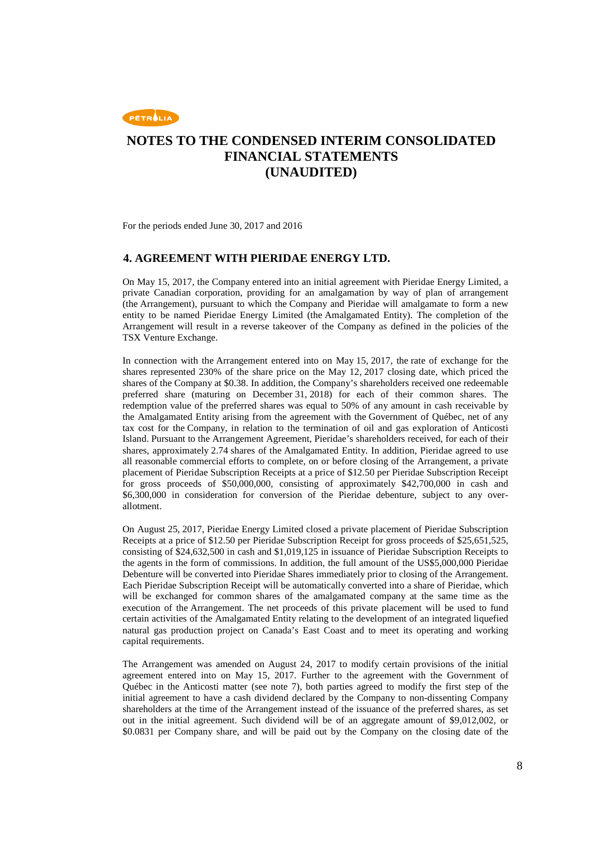

For the periods ended June 30, 2017 and 2016

### **4. AGREEMENT WITH PIERIDAE ENERGY LTD.**

On May 15, 2017, the Company entered into an initial agreement with Pieridae Energy Limited, a private Canadian corporation, providing for an amalgamation by way of plan of arrangement (the Arrangement), pursuant to which the Company and Pieridae will amalgamate to form a new entity to be named Pieridae Energy Limited (the Amalgamated Entity). The completion of the Arrangement will result in a reverse takeover of the Company as defined in the policies of the TSX Venture Exchange.

In connection with the Arrangement entered into on May 15, 2017, the rate of exchange for the shares represented 230% of the share price on the May 12, 2017 closing date, which priced the shares of the Company at \$0.38. In addition, the Company's shareholders received one redeemable preferred share (maturing on December 31, 2018) for each of their common shares. The redemption value of the preferred shares was equal to 50% of any amount in cash receivable by the Amalgamated Entity arising from the agreement with the Government of Québec, net of any tax cost for the Company, in relation to the termination of oil and gas exploration of Anticosti Island. Pursuant to the Arrangement Agreement, Pieridae's shareholders received, for each of their shares, approximately 2.74 shares of the Amalgamated Entity. In addition, Pieridae agreed to use all reasonable commercial efforts to complete, on or before closing of the Arrangement, a private placement of Pieridae Subscription Receipts at a price of \$12.50 per Pieridae Subscription Receipt for gross proceeds of \$50,000,000, consisting of approximately \$42,700,000 in cash and \$6,300,000 in consideration for conversion of the Pieridae debenture, subject to any overallotment.

On August 25, 2017, Pieridae Energy Limited closed a private placement of Pieridae Subscription Receipts at a price of \$12.50 per Pieridae Subscription Receipt for gross proceeds of \$25,651,525, consisting of \$24,632,500 in cash and \$1,019,125 in issuance of Pieridae Subscription Receipts to the agents in the form of commissions. In addition, the full amount of the US\$5,000,000 Pieridae Debenture will be converted into Pieridae Shares immediately prior to closing of the Arrangement. Each Pieridae Subscription Receipt will be automatically converted into a share of Pieridae, which will be exchanged for common shares of the amalgamated company at the same time as the execution of the Arrangement. The net proceeds of this private placement will be used to fund certain activities of the Amalgamated Entity relating to the development of an integrated liquefied natural gas production project on Canada's East Coast and to meet its operating and working capital requirements.

The Arrangement was amended on August 24, 2017 to modify certain provisions of the initial agreement entered into on May 15, 2017. Further to the agreement with the Government of Québec in the Anticosti matter (see note 7), both parties agreed to modify the first step of the initial agreement to have a cash dividend declared by the Company to non-dissenting Company shareholders at the time of the Arrangement instead of the issuance of the preferred shares, as set out in the initial agreement. Such dividend will be of an aggregate amount of \$9,012,002, or \$0.0831 per Company share, and will be paid out by the Company on the closing date of the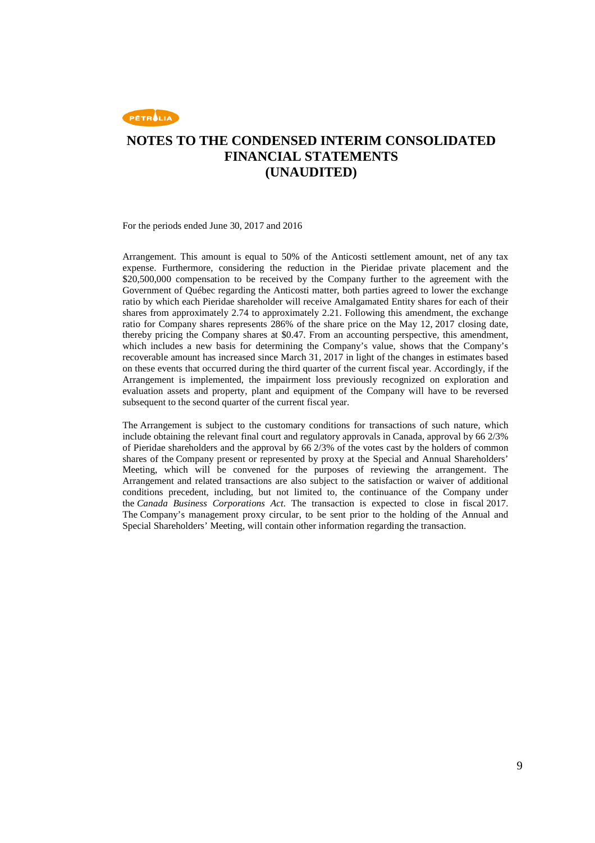

For the periods ended June 30, 2017 and 2016

Arrangement. This amount is equal to 50% of the Anticosti settlement amount, net of any tax expense. Furthermore, considering the reduction in the Pieridae private placement and the \$20,500,000 compensation to be received by the Company further to the agreement with the Government of Québec regarding the Anticosti matter, both parties agreed to lower the exchange ratio by which each Pieridae shareholder will receive Amalgamated Entity shares for each of their shares from approximately 2.74 to approximately 2.21. Following this amendment, the exchange ratio for Company shares represents 286% of the share price on the May 12, 2017 closing date, thereby pricing the Company shares at \$0.47. From an accounting perspective, this amendment, which includes a new basis for determining the Company's value, shows that the Company's recoverable amount has increased since March 31, 2017 in light of the changes in estimates based on these events that occurred during the third quarter of the current fiscal year. Accordingly, if the Arrangement is implemented, the impairment loss previously recognized on exploration and evaluation assets and property, plant and equipment of the Company will have to be reversed subsequent to the second quarter of the current fiscal year.

The Arrangement is subject to the customary conditions for transactions of such nature, which include obtaining the relevant final court and regulatory approvals in Canada, approval by 66 2/3% of Pieridae shareholders and the approval by 66 2/3% of the votes cast by the holders of common shares of the Company present or represented by proxy at the Special and Annual Shareholders' Meeting, which will be convened for the purposes of reviewing the arrangement. The Arrangement and related transactions are also subject to the satisfaction or waiver of additional conditions precedent, including, but not limited to, the continuance of the Company under the *Canada Business Corporations Act*. The transaction is expected to close in fiscal 2017. The Company's management proxy circular, to be sent prior to the holding of the Annual and Special Shareholders' Meeting, will contain other information regarding the transaction.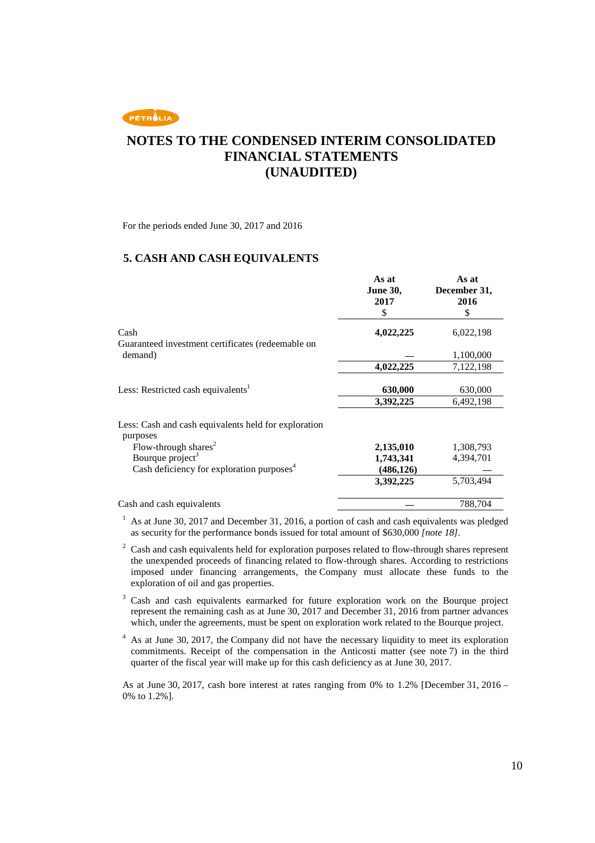

For the periods ended June 30, 2017 and 2016

### **5. CASH AND CASH EQUIVALENTS**

|                                                                  | As at<br><b>June 30,</b> | As at<br>December 31, |
|------------------------------------------------------------------|--------------------------|-----------------------|
|                                                                  | 2017                     | 2016                  |
|                                                                  | \$                       | \$                    |
| Cash                                                             | 4,022,225                | 6,022,198             |
| Guaranteed investment certificates (redeemable on                |                          |                       |
| demand)                                                          |                          | 1,100,000             |
|                                                                  | 4,022,225                | 7,122,198             |
|                                                                  |                          |                       |
| Less: Restricted cash equivalents <sup>1</sup>                   | 630,000                  | 630,000               |
|                                                                  | 3,392,225                | 6,492,198             |
| Less: Cash and cash equivalents held for exploration<br>purposes |                          |                       |
| Flow-through shares <sup>2</sup>                                 | 2,135,010                | 1,308,793             |
| Bourque project <sup>3</sup>                                     | 1,743,341                | 4,394,701             |
| Cash deficiency for exploration purposes $4$                     | (486, 126)               |                       |
|                                                                  | 3,392,225                | 5,703,494             |
| Cash and cash equivalents                                        |                          | 788.704               |

 $1$  As at June 30, 2017 and December 31, 2016, a portion of cash and cash equivalents was pledged as security for the performance bonds issued for total amount of \$630,000 *[note 18]*.

 $2^2$  Cash and cash equivalents held for exploration purposes related to flow-through shares represent the unexpended proceeds of financing related to flow-through shares. According to restrictions imposed under financing arrangements, the Company must allocate these funds to the exploration of oil and gas properties.

3 Cash and cash equivalents earmarked for future exploration work on the Bourque project represent the remaining cash as at June 30, 2017 and December 31, 2016 from partner advances which, under the agreements, must be spent on exploration work related to the Bourque project.

4 As at June 30, 2017, the Company did not have the necessary liquidity to meet its exploration commitments. Receipt of the compensation in the Anticosti matter (see note 7) in the third quarter of the fiscal year will make up for this cash deficiency as at June 30, 2017.

As at June 30, 2017, cash bore interest at rates ranging from 0% to 1.2% [December 31, 2016 – 0% to 1.2%].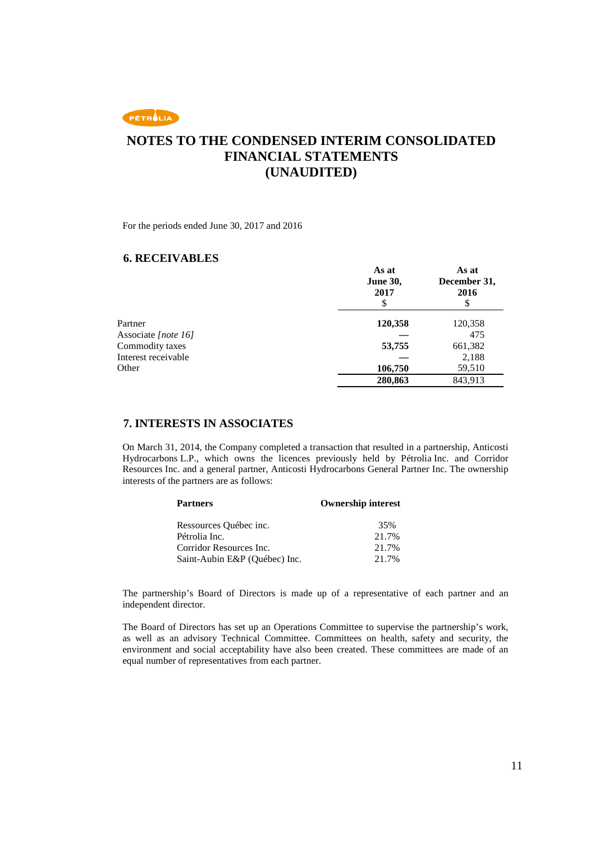

For the periods ended June 30, 2017 and 2016

### **6. RECEIVABLES**

|                     | As at<br><b>June 30,</b><br>2017<br>\$ | As at<br>December 31,<br>2016 |
|---------------------|----------------------------------------|-------------------------------|
| Partner             | 120,358                                | 120,358                       |
| Associate [note 16] |                                        | 475                           |
| Commodity taxes     | 53,755                                 | 661,382                       |
| Interest receivable |                                        | 2,188                         |
| Other               | 106,750                                | 59,510                        |
|                     | 280,863                                | 843,913                       |

### **7. INTERESTS IN ASSOCIATES**

On March 31, 2014, the Company completed a transaction that resulted in a partnership, Anticosti Hydrocarbons L.P., which owns the licences previously held by Pétrolia Inc. and Corridor Resources Inc. and a general partner, Anticosti Hydrocarbons General Partner Inc. The ownership interests of the partners are as follows:

| <b>Partners</b>               | <b>Ownership interest</b> |  |
|-------------------------------|---------------------------|--|
| Ressources Québec inc.        | 35%                       |  |
| Pétrolia Inc.                 | 21.7%                     |  |
| Corridor Resources Inc.       | 21.7%                     |  |
| Saint-Aubin E&P (Québec) Inc. | 21.7%                     |  |

The partnership's Board of Directors is made up of a representative of each partner and an independent director.

The Board of Directors has set up an Operations Committee to supervise the partnership's work, as well as an advisory Technical Committee. Committees on health, safety and security, the environment and social acceptability have also been created. These committees are made of an equal number of representatives from each partner.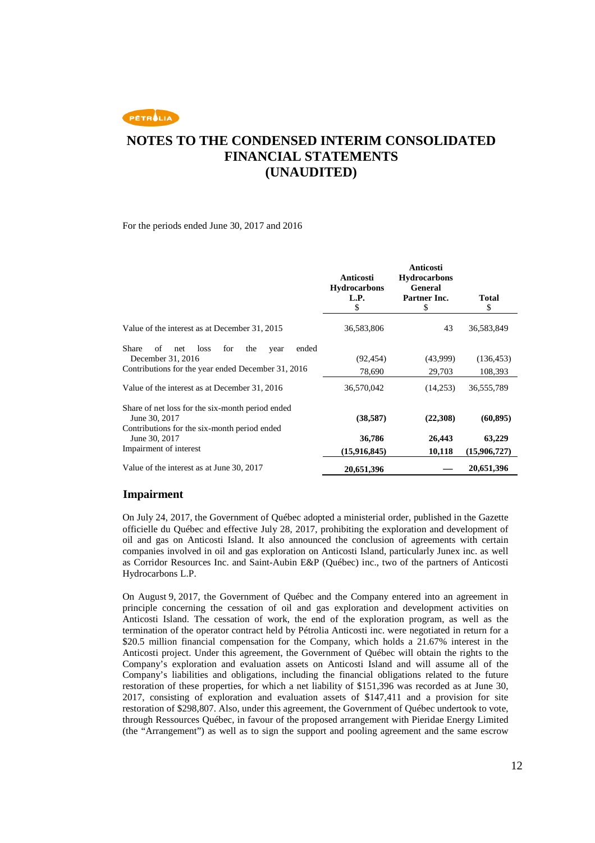PETROLIA

## **NOTES TO THE CONDENSED INTERIM CONSOLIDATED FINANCIAL STATEMENTS (UNAUDITED)**

For the periods ended June 30, 2017 and 2016

|                                                                                                                                                                                       | Anticosti<br><b>Hydrocarbons</b><br>L.P.<br>\$ | Anticosti<br><b>Hydrocarbons</b><br><b>General</b><br>Partner Inc.<br>\$ | <b>Total</b><br>\$                  |
|---------------------------------------------------------------------------------------------------------------------------------------------------------------------------------------|------------------------------------------------|--------------------------------------------------------------------------|-------------------------------------|
| Value of the interest as at December 31, 2015                                                                                                                                         | 36,583,806                                     | 43                                                                       | 36,583,849                          |
| Share<br>loss<br>for<br>ended<br>of<br>the<br>net<br>year<br>December 31, 2016<br>Contributions for the year ended December 31, 2016<br>Value of the interest as at December 31, 2016 | (92, 454)<br>78,690<br>36,570,042              | (43,999)<br>29,703<br>(14,253)                                           | (136, 453)<br>108,393<br>36,555,789 |
| Share of net loss for the six-month period ended<br>June 30, 2017                                                                                                                     | (38, 587)                                      | (22,308)                                                                 | (60, 895)                           |
| Contributions for the six-month period ended<br>June 30, 2017<br>Impairment of interest                                                                                               | 36,786<br>(15,916,845)                         | 26,443<br>10,118                                                         | 63,229<br>(15,906,727)              |
| Value of the interest as at June 30, 2017                                                                                                                                             | 20,651,396                                     |                                                                          | 20,651,396                          |

#### **Impairment**

On July 24, 2017, the Government of Québec adopted a ministerial order, published in the Gazette officielle du Québec and effective July 28, 2017, prohibiting the exploration and development of oil and gas on Anticosti Island. It also announced the conclusion of agreements with certain companies involved in oil and gas exploration on Anticosti Island, particularly Junex inc. as well as Corridor Resources Inc. and Saint-Aubin E&P (Québec) inc., two of the partners of Anticosti Hydrocarbons L.P.

On August 9, 2017, the Government of Québec and the Company entered into an agreement in principle concerning the cessation of oil and gas exploration and development activities on Anticosti Island. The cessation of work, the end of the exploration program, as well as the termination of the operator contract held by Pétrolia Anticosti inc. were negotiated in return for a \$20.5 million financial compensation for the Company, which holds a 21.67% interest in the Anticosti project. Under this agreement, the Government of Québec will obtain the rights to the Company's exploration and evaluation assets on Anticosti Island and will assume all of the Company's liabilities and obligations, including the financial obligations related to the future restoration of these properties, for which a net liability of \$151,396 was recorded as at June 30, 2017, consisting of exploration and evaluation assets of \$147,411 and a provision for site restoration of \$298,807. Also, under this agreement, the Government of Québec undertook to vote, through Ressources Québec, in favour of the proposed arrangement with Pieridae Energy Limited (the "Arrangement") as well as to sign the support and pooling agreement and the same escrow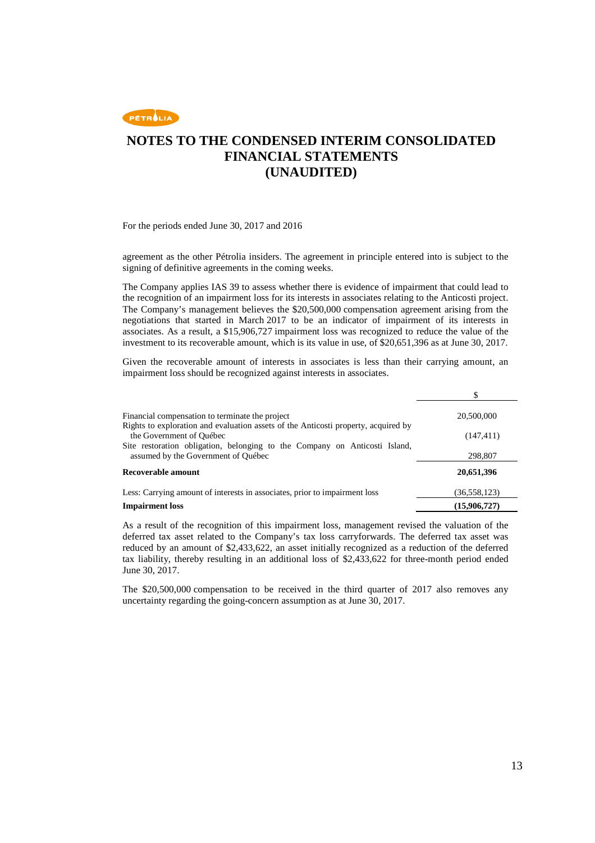

For the periods ended June 30, 2017 and 2016

agreement as the other Pétrolia insiders. The agreement in principle entered into is subject to the signing of definitive agreements in the coming weeks.

The Company applies IAS 39 to assess whether there is evidence of impairment that could lead to the recognition of an impairment loss for its interests in associates relating to the Anticosti project. The Company's management believes the \$20,500,000 compensation agreement arising from the negotiations that started in March 2017 to be an indicator of impairment of its interests in associates. As a result, a \$15,906,727 impairment loss was recognized to reduce the value of the investment to its recoverable amount, which is its value in use, of \$20,651,396 as at June 30, 2017.

Given the recoverable amount of interests in associates is less than their carrying amount, an impairment loss should be recognized against interests in associates.

| Financial compensation to terminate the project<br>Rights to exploration and evaluation assets of the Anticosti property, acquired by | 20,500,000   |
|---------------------------------------------------------------------------------------------------------------------------------------|--------------|
| the Government of Québec                                                                                                              | (147, 411)   |
| Site restoration obligation, belonging to the Company on Anticosti Island,<br>assumed by the Government of Ouébec                     | 298,807      |
| Recoverable amount                                                                                                                    | 20,651,396   |
| Less: Carrying amount of interests in associates, prior to impairment loss                                                            | (36,558,123) |
| <b>Impairment</b> loss                                                                                                                | (15,906,727) |

As a result of the recognition of this impairment loss, management revised the valuation of the deferred tax asset related to the Company's tax loss carryforwards. The deferred tax asset was reduced by an amount of \$2,433,622, an asset initially recognized as a reduction of the deferred tax liability, thereby resulting in an additional loss of \$2,433,622 for three-month period ended June 30, 2017.

The \$20,500,000 compensation to be received in the third quarter of 2017 also removes any uncertainty regarding the going-concern assumption as at June 30, 2017.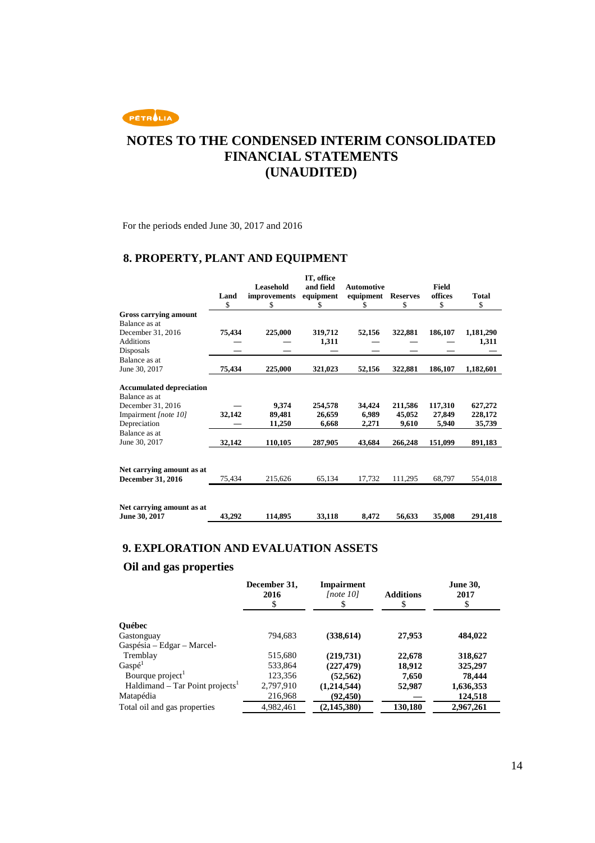

For the periods ended June 30, 2017 and 2016

### **8. PROPERTY, PLANT AND EQUIPMENT**

|                                                                                               | Land<br>\$ | <b>Leasehold</b><br>improvements<br>\$ | IT, office<br>and field<br>equipment<br>S | <b>Automotive</b><br>equipment<br>\$ | <b>Reserves</b><br>\$ | Field<br>offices<br>\$ | Total<br>\$        |
|-----------------------------------------------------------------------------------------------|------------|----------------------------------------|-------------------------------------------|--------------------------------------|-----------------------|------------------------|--------------------|
| Gross carrying amount                                                                         |            |                                        |                                           |                                      |                       |                        |                    |
| Balance as at                                                                                 |            |                                        |                                           |                                      |                       |                        |                    |
| December 31, 2016                                                                             | 75,434     | 225,000                                | 319,712                                   | 52,156                               | 322,881               | 186,107                | 1,181,290          |
| <b>Additions</b>                                                                              |            |                                        | 1,311                                     |                                      |                       |                        | 1,311              |
| Disposals                                                                                     |            |                                        |                                           |                                      |                       |                        |                    |
| Balance as at                                                                                 |            |                                        |                                           |                                      |                       |                        |                    |
| June 30, 2017                                                                                 | 75,434     | 225,000                                | 321,023                                   | 52,156                               | 322,881               | 186,107                | 1,182,601          |
| <b>Accumulated depreciation</b><br>Balance as at<br>December 31, 2016<br>Impairment [note 10] | 32,142     | 9,374<br>89,481                        | 254,578<br>26,659                         | 34,424<br>6,989                      | 211,586<br>45,052     | 117.310<br>27,849      | 627,272<br>228,172 |
| Depreciation                                                                                  |            | 11,250                                 | 6,668                                     | 2,271                                | 9,610                 | 5,940                  | 35,739             |
| Balance as at                                                                                 |            |                                        |                                           |                                      |                       |                        |                    |
| June 30, 2017                                                                                 | 32,142     | 110,105                                | 287,905                                   | 43,684                               | 266,248               | 151,099                | 891,183            |
| Net carrying amount as at                                                                     |            |                                        |                                           |                                      |                       |                        |                    |
| <b>December 31, 2016</b>                                                                      | 75,434     | 215,626                                | 65,134                                    | 17,732                               | 111,295               | 68,797                 | 554,018            |
| Net carrying amount as at<br>June 30, 2017                                                    | 43,292     | 114,895                                | 33,118                                    | 8,472                                | 56,633                | 35,008                 | 291,418            |

### **9. EXPLORATION AND EVALUATION ASSETS**

### **Oil and gas properties**

| December 31,<br>2016<br>\$ | <b>Impairment</b><br>[note 10]<br>\$ | <b>Additions</b><br>\$ | <b>June 30,</b><br>2017<br>\$ |
|----------------------------|--------------------------------------|------------------------|-------------------------------|
|                            |                                      |                        |                               |
| 794,683                    | (338, 614)                           | 27,953                 | 484,022                       |
|                            |                                      |                        |                               |
| 515,680                    | (219,731)                            | 22,678                 | 318,627                       |
| 533,864                    | (227, 479)                           | 18,912                 | 325,297                       |
| 123,356                    | (52, 562)                            | 7,650                  | 78,444                        |
| 2,797,910                  | (1,214,544)                          | 52,987                 | 1,636,353                     |
| 216,968                    | (92, 450)                            |                        | 124,518                       |
| 4,982,461                  | (2, 145, 380)                        | 130,180                | 2,967,261                     |
|                            |                                      |                        |                               |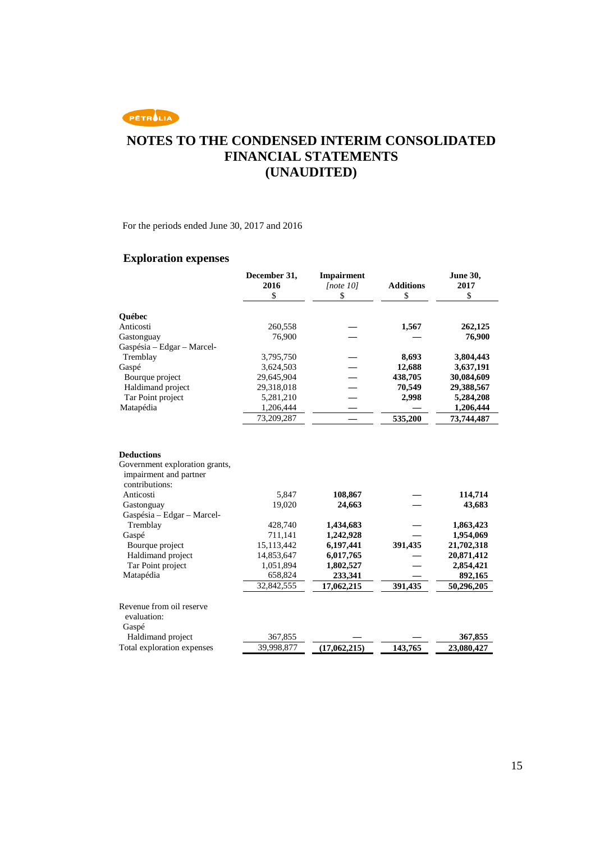

For the periods ended June 30, 2017 and 2016

### **Exploration expenses**

|                                                                                                                                                          | December 31,<br>2016<br>\$ | <b>Impairment</b><br>[note 10]<br>\$ | <b>Additions</b><br>\$ | <b>June 30,</b><br>2017<br>\$ |
|----------------------------------------------------------------------------------------------------------------------------------------------------------|----------------------------|--------------------------------------|------------------------|-------------------------------|
| <b>Québec</b>                                                                                                                                            |                            |                                      |                        |                               |
| Anticosti                                                                                                                                                | 260,558                    |                                      | 1,567                  | 262,125                       |
| Gastonguay                                                                                                                                               | 76,900                     |                                      |                        | 76,900                        |
| Gaspésia – Edgar – Marcel-                                                                                                                               |                            |                                      |                        |                               |
| Tremblay                                                                                                                                                 | 3,795,750                  |                                      | 8,693                  | 3,804,443                     |
| Gaspé                                                                                                                                                    | 3,624,503                  |                                      | 12,688                 | 3,637,191                     |
| Bourque project                                                                                                                                          | 29,645,904                 |                                      | 438,705                | 30,084,609                    |
| Haldimand project                                                                                                                                        | 29,318,018                 |                                      | 70,549                 | 29,388,567                    |
| Tar Point project                                                                                                                                        | 5,281,210                  |                                      | 2,998                  | 5,284,208                     |
| Matapédia                                                                                                                                                | 1,206,444                  |                                      |                        | 1,206,444                     |
|                                                                                                                                                          | 73,209,287                 |                                      | 535,200                | 73,744,487                    |
| <b>Deductions</b><br>Government exploration grants,<br>impairment and partner<br>contributions:<br>Anticosti<br>Gastonguay<br>Gaspésia - Edgar - Marcel- | 5,847<br>19,020            | 108,867<br>24,663                    |                        | 114,714<br>43,683             |
| Tremblay                                                                                                                                                 | 428,740                    | 1,434,683                            |                        | 1,863,423                     |
| Gaspé                                                                                                                                                    | 711,141                    | 1,242,928                            |                        | 1,954,069                     |
| Bourque project                                                                                                                                          | 15,113,442                 | 6,197,441                            | 391,435                | 21,702,318                    |
| Haldimand project                                                                                                                                        | 14,853,647                 | 6,017,765                            |                        | 20,871,412                    |
| Tar Point project                                                                                                                                        | 1,051,894                  | 1,802,527                            |                        | 2,854,421                     |
| Matapédia                                                                                                                                                | 658,824                    | 233,341                              |                        | 892,165                       |
|                                                                                                                                                          | 32,842,555                 | 17,062,215                           | 391,435                | 50,296,205                    |
| Revenue from oil reserve<br>evaluation:<br>Gaspé                                                                                                         |                            |                                      |                        |                               |
| Haldimand project                                                                                                                                        | 367,855                    |                                      |                        | 367,855                       |
| Total exploration expenses                                                                                                                               | 39,998,877                 | (17,062,215)                         | 143,765                | 23,080,427                    |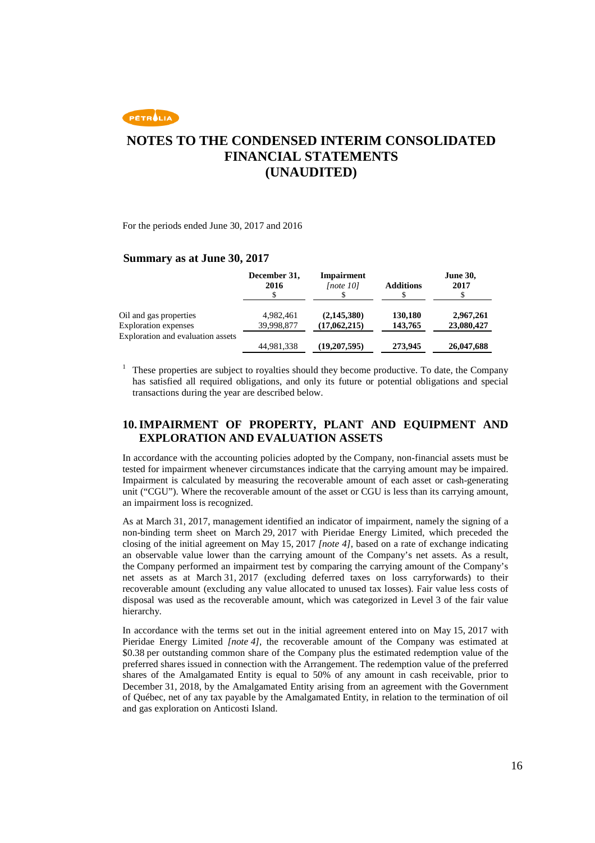

For the periods ended June 30, 2017 and 2016

#### **Summary as at June 30, 2017**

|                                   | December 31,<br>2016 | <b>Impairment</b><br>[note 10] | <b>Additions</b> | <b>June 30,</b><br>2017 |
|-----------------------------------|----------------------|--------------------------------|------------------|-------------------------|
| Oil and gas properties            | 4.982.461            | (2,145,380)                    | 130,180          | 2,967,261               |
| Exploration expenses              | 39,998,877           | (17,062,215)                   | 143,765          | 23,080,427              |
| Exploration and evaluation assets | 44,981,338           | (19,207,595)                   | 273,945          | 26,047,688              |

1 These properties are subject to royalties should they become productive. To date, the Company has satisfied all required obligations, and only its future or potential obligations and special transactions during the year are described below.

### **10. IMPAIRMENT OF PROPERTY, PLANT AND EQUIPMENT AND EXPLORATION AND EVALUATION ASSETS**

In accordance with the accounting policies adopted by the Company, non-financial assets must be tested for impairment whenever circumstances indicate that the carrying amount may be impaired. Impairment is calculated by measuring the recoverable amount of each asset or cash-generating unit ("CGU"). Where the recoverable amount of the asset or CGU is less than its carrying amount, an impairment loss is recognized.

As at March 31, 2017, management identified an indicator of impairment, namely the signing of a non-binding term sheet on March 29, 2017 with Pieridae Energy Limited, which preceded the closing of the initial agreement on May 15, 2017 *[note 4]*, based on a rate of exchange indicating an observable value lower than the carrying amount of the Company's net assets. As a result, the Company performed an impairment test by comparing the carrying amount of the Company's net assets as at March 31, 2017 (excluding deferred taxes on loss carryforwards) to their recoverable amount (excluding any value allocated to unused tax losses). Fair value less costs of disposal was used as the recoverable amount, which was categorized in Level 3 of the fair value hierarchy.

In accordance with the terms set out in the initial agreement entered into on May 15, 2017 with Pieridae Energy Limited *[note 4]*, the recoverable amount of the Company was estimated at \$0.38 per outstanding common share of the Company plus the estimated redemption value of the preferred shares issued in connection with the Arrangement. The redemption value of the preferred shares of the Amalgamated Entity is equal to 50% of any amount in cash receivable, prior to December 31, 2018, by the Amalgamated Entity arising from an agreement with the Government of Québec, net of any tax payable by the Amalgamated Entity, in relation to the termination of oil and gas exploration on Anticosti Island.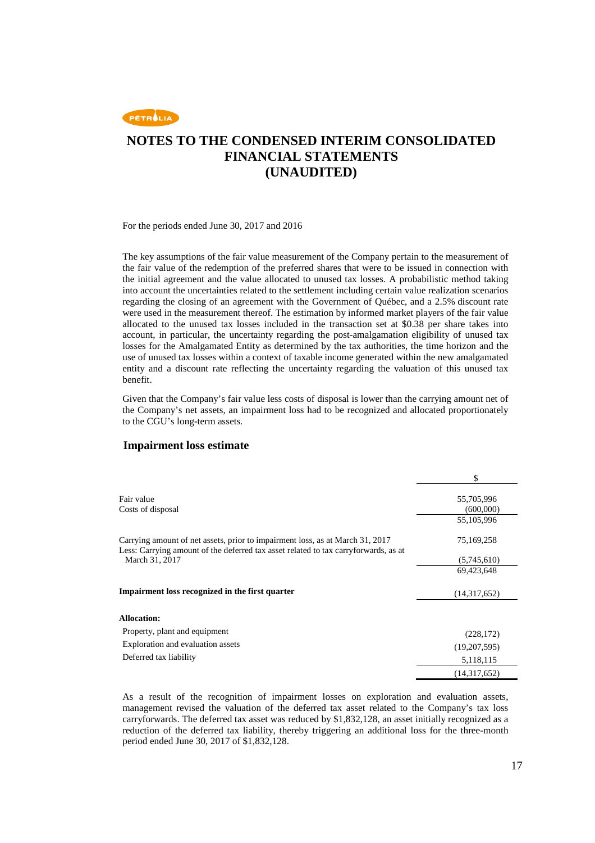

For the periods ended June 30, 2017 and 2016

The key assumptions of the fair value measurement of the Company pertain to the measurement of the fair value of the redemption of the preferred shares that were to be issued in connection with the initial agreement and the value allocated to unused tax losses. A probabilistic method taking into account the uncertainties related to the settlement including certain value realization scenarios regarding the closing of an agreement with the Government of Québec, and a 2.5% discount rate were used in the measurement thereof. The estimation by informed market players of the fair value allocated to the unused tax losses included in the transaction set at \$0.38 per share takes into account, in particular, the uncertainty regarding the post-amalgamation eligibility of unused tax losses for the Amalgamated Entity as determined by the tax authorities, the time horizon and the use of unused tax losses within a context of taxable income generated within the new amalgamated entity and a discount rate reflecting the uncertainty regarding the valuation of this unused tax benefit.

Given that the Company's fair value less costs of disposal is lower than the carrying amount net of the Company's net assets, an impairment loss had to be recognized and allocated proportionately to the CGU's long-term assets.

#### **Impairment loss estimate**

|                                                                                                                                                                      | \$                      |
|----------------------------------------------------------------------------------------------------------------------------------------------------------------------|-------------------------|
| Fair value<br>Costs of disposal                                                                                                                                      | 55,705,996<br>(600,000) |
|                                                                                                                                                                      | 55,105,996              |
| Carrying amount of net assets, prior to impairment loss, as at March 31, 2017<br>Less: Carrying amount of the deferred tax asset related to tax carryforwards, as at | 75,169,258              |
| March 31, 2017                                                                                                                                                       | (5,745,610)             |
|                                                                                                                                                                      | 69,423,648              |
| Impairment loss recognized in the first quarter                                                                                                                      | (14,317,652)            |
| <b>Allocation:</b>                                                                                                                                                   |                         |
| Property, plant and equipment                                                                                                                                        | (228, 172)              |
| Exploration and evaluation assets                                                                                                                                    | (19,207,595)            |
| Deferred tax liability                                                                                                                                               | 5,118,115               |
|                                                                                                                                                                      | (14,317,652)            |

As a result of the recognition of impairment losses on exploration and evaluation assets, management revised the valuation of the deferred tax asset related to the Company's tax loss carryforwards. The deferred tax asset was reduced by \$1,832,128, an asset initially recognized as a reduction of the deferred tax liability, thereby triggering an additional loss for the three-month period ended June 30, 2017 of \$1,832,128.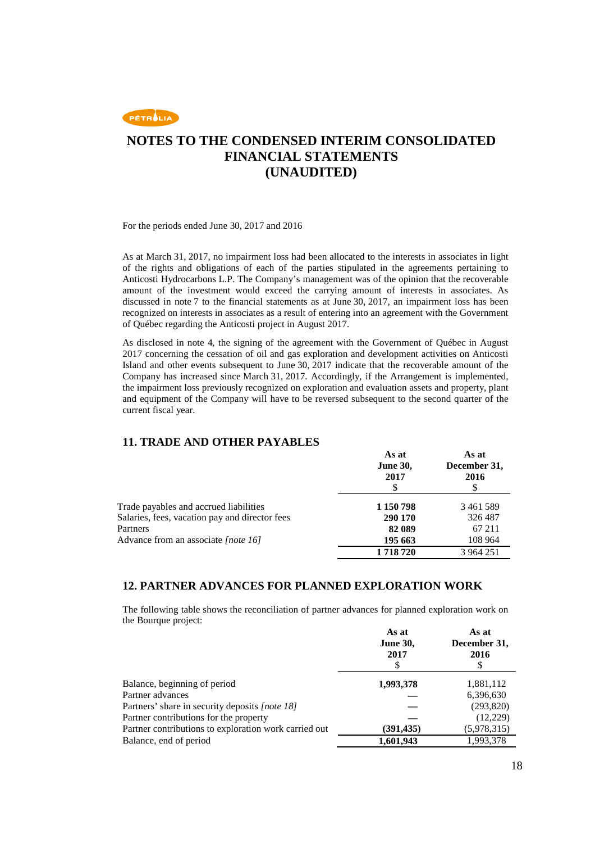

For the periods ended June 30, 2017 and 2016

As at March 31, 2017, no impairment loss had been allocated to the interests in associates in light of the rights and obligations of each of the parties stipulated in the agreements pertaining to Anticosti Hydrocarbons L.P. The Company's management was of the opinion that the recoverable amount of the investment would exceed the carrying amount of interests in associates. As discussed in note 7 to the financial statements as at June 30, 2017, an impairment loss has been recognized on interests in associates as a result of entering into an agreement with the Government of Québec regarding the Anticosti project in August 2017.

As disclosed in note 4, the signing of the agreement with the Government of Québec in August 2017 concerning the cessation of oil and gas exploration and development activities on Anticosti Island and other events subsequent to June 30, 2017 indicate that the recoverable amount of the Company has increased since March 31, 2017. Accordingly, if the Arrangement is implemented, the impairment loss previously recognized on exploration and evaluation assets and property, plant and equipment of the Company will have to be reversed subsequent to the second quarter of the current fiscal year.

### **11. TRADE AND OTHER PAYABLES**

|                                                | As at<br><b>June 30,</b><br>2017 | As at<br>December 31,<br>2016<br>\$ |
|------------------------------------------------|----------------------------------|-------------------------------------|
| Trade payables and accrued liabilities         | 1 150 798                        | 3461589                             |
| Salaries, fees, vacation pay and director fees | 290 170                          | 326 487                             |
| Partners                                       | 82 089                           | 67 211                              |
| Advance from an associate [note 16]            | 195 663                          | 108 964                             |
|                                                | 1718720                          | 3 964 251                           |

### **12. PARTNER ADVANCES FOR PLANNED EXPLORATION WORK**

The following table shows the reconciliation of partner advances for planned exploration work on the Bourque project:

|                                                       | As at           | As at        |
|-------------------------------------------------------|-----------------|--------------|
|                                                       | <b>June 30,</b> | December 31, |
|                                                       | 2017            | 2016         |
|                                                       | S               | \$           |
| Balance, beginning of period                          | 1,993,378       | 1,881,112    |
| Partner advances                                      |                 | 6,396,630    |
| Partners' share in security deposits [note 18]        |                 | (293,820)    |
| Partner contributions for the property                |                 | (12,229)     |
| Partner contributions to exploration work carried out | (391, 435)      | (5,978,315)  |
| Balance, end of period                                | 1,601,943       | 1,993,378    |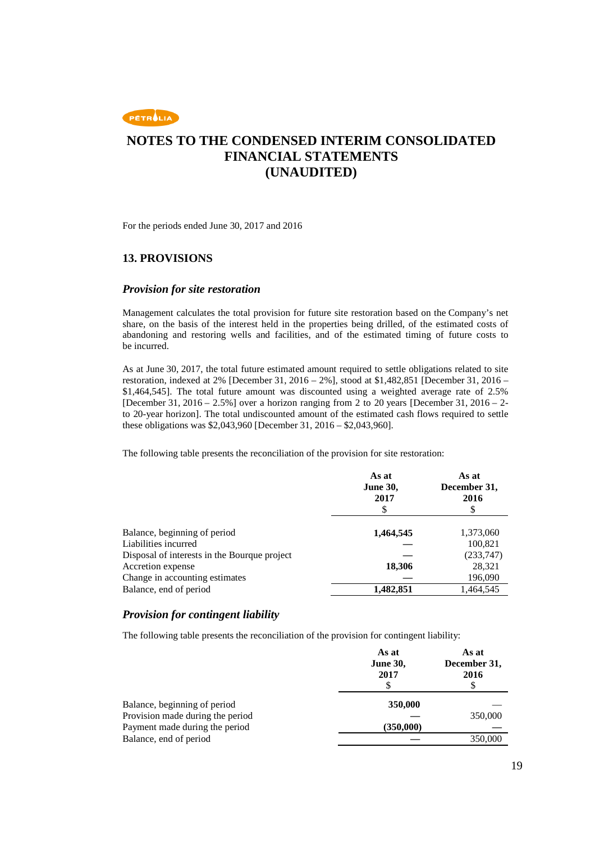

For the periods ended June 30, 2017 and 2016

### **13. PROVISIONS**

#### *Provision for site restoration*

Management calculates the total provision for future site restoration based on the Company's net share, on the basis of the interest held in the properties being drilled, of the estimated costs of abandoning and restoring wells and facilities, and of the estimated timing of future costs to be incurred.

As at June 30, 2017, the total future estimated amount required to settle obligations related to site restoration, indexed at 2% [December 31, 2016 – 2%], stood at \$1,482,851 [December 31, 2016 – \$1,464,545]. The total future amount was discounted using a weighted average rate of 2.5% [December 31, 2016 – 2.5%] over a horizon ranging from 2 to 20 years [December 31, 2016 – 2 to 20-year horizon]. The total undiscounted amount of the estimated cash flows required to settle these obligations was \$2,043,960 [December 31, 2016 – \$2,043,960].

The following table presents the reconciliation of the provision for site restoration:

|                                              | As at<br><b>June 30,</b><br>2017 | As at<br>December 31,<br>2016 |
|----------------------------------------------|----------------------------------|-------------------------------|
|                                              |                                  | \$                            |
| Balance, beginning of period                 | 1,464,545                        | 1,373,060                     |
| Liabilities incurred                         |                                  | 100,821                       |
| Disposal of interests in the Bourque project |                                  | (233,747)                     |
| Accretion expense                            | 18,306                           | 28,321                        |
| Change in accounting estimates               |                                  | 196,090                       |
| Balance, end of period                       | 1,482,851                        | 1,464,545                     |

### *Provision for contingent liability*

The following table presents the reconciliation of the provision for contingent liability:

|                                  | As at<br><b>June 30,</b><br>2017 | As at<br>December 31,<br>2016 |
|----------------------------------|----------------------------------|-------------------------------|
| Balance, beginning of period     | 350,000                          |                               |
| Provision made during the period |                                  | 350,000                       |
| Payment made during the period   | (350,000)                        |                               |
| Balance, end of period           |                                  | 350,000                       |
|                                  |                                  |                               |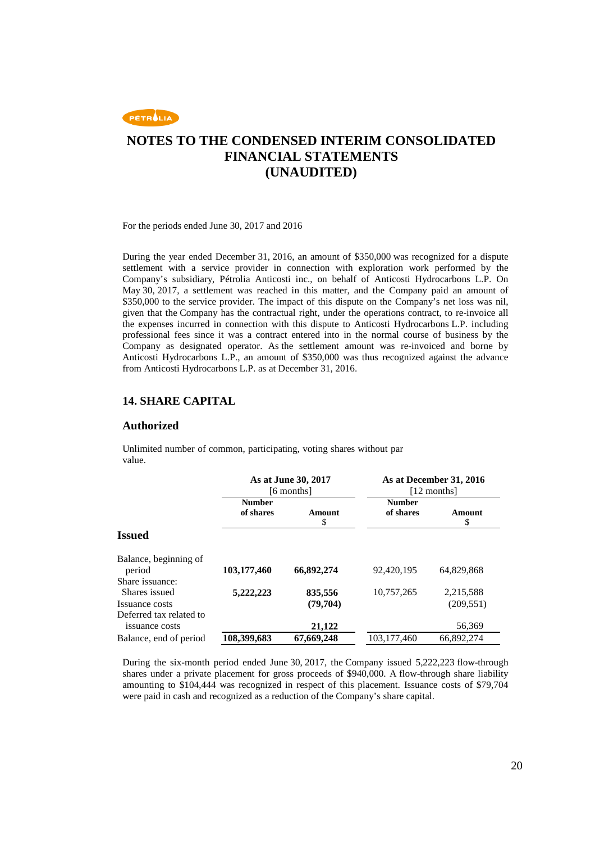

For the periods ended June 30, 2017 and 2016

During the year ended December 31, 2016, an amount of \$350,000 was recognized for a dispute settlement with a service provider in connection with exploration work performed by the Company's subsidiary, Pétrolia Anticosti inc., on behalf of Anticosti Hydrocarbons L.P. On May 30, 2017, a settlement was reached in this matter, and the Company paid an amount of \$350,000 to the service provider. The impact of this dispute on the Company's net loss was nil, given that the Company has the contractual right, under the operations contract, to re-invoice all the expenses incurred in connection with this dispute to Anticosti Hydrocarbons L.P. including professional fees since it was a contract entered into in the normal course of business by the Company as designated operator. As the settlement amount was re-invoiced and borne by Anticosti Hydrocarbons L.P., an amount of \$350,000 was thus recognized against the advance from Anticosti Hydrocarbons L.P. as at December 31, 2016.

### **14. SHARE CAPITAL**

#### **Authorized**

Unlimited number of common, participating, voting shares without par value.

|                                                    |                            | As at June 30, 2017<br>[6 months] |                            | As at December 31, 2016<br>[12 months] |
|----------------------------------------------------|----------------------------|-----------------------------------|----------------------------|----------------------------------------|
|                                                    | <b>Number</b><br>of shares | Amount<br>\$                      | <b>Number</b><br>of shares | Amount<br>\$                           |
| <b>Issued</b>                                      |                            |                                   |                            |                                        |
| Balance, beginning of<br>period                    | 103,177,460                | 66,892,274                        | 92,420,195                 | 64.829.868                             |
| Share issuance:<br>Shares issued<br>Issuance costs | 5,222,223                  | 835,556<br>(79,704)               | 10,757,265                 | 2,215,588<br>(209, 551)                |
| Deferred tax related to<br>issuance costs          |                            | 21,122                            |                            | 56,369                                 |
| Balance, end of period                             | 108,399,683                | 67,669,248                        | 103, 177, 460              | 66,892,274                             |

During the six-month period ended June 30, 2017, the Company issued 5,222,223 flow-through shares under a private placement for gross proceeds of \$940,000. A flow-through share liability amounting to \$104,444 was recognized in respect of this placement. Issuance costs of \$79,704 were paid in cash and recognized as a reduction of the Company's share capital.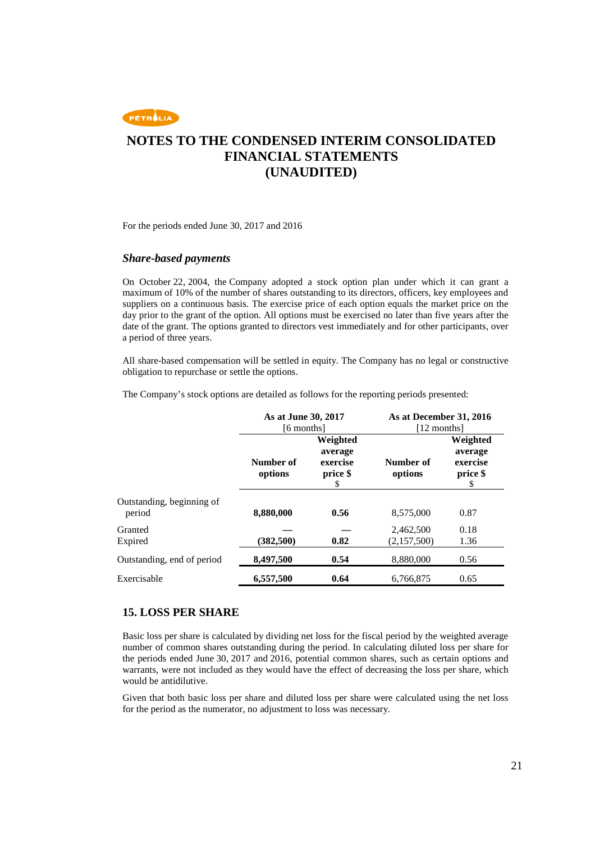

For the periods ended June 30, 2017 and 2016

#### *Share-based payments*

On October 22, 2004, the Company adopted a stock option plan under which it can grant a maximum of 10% of the number of shares outstanding to its directors, officers, key employees and suppliers on a continuous basis. The exercise price of each option equals the market price on the day prior to the grant of the option. All options must be exercised no later than five years after the date of the grant. The options granted to directors vest immediately and for other participants, over a period of three years.

All share-based compensation will be settled in equity. The Company has no legal or constructive obligation to repurchase or settle the options.

The Company's stock options are detailed as follows for the reporting periods presented:

|                                     | As at June 30, 2017<br>[6 months] |                                                  | As at December 31, 2016<br>[12 months] |                                                   |
|-------------------------------------|-----------------------------------|--------------------------------------------------|----------------------------------------|---------------------------------------------------|
|                                     | Number of<br>options              | Weighted<br>average<br>exercise<br>price \$<br>S | Number of<br>options                   | Weighted<br>average<br>exercise<br>price \$<br>\$ |
| Outstanding, beginning of<br>period | 8,880,000                         | 0.56                                             | 8,575,000                              | 0.87                                              |
| Granted<br>Expired                  | (382, 500)                        | 0.82                                             | 2,462,500<br>(2,157,500)               | 0.18<br>1.36                                      |
| Outstanding, end of period          | 8,497,500                         | 0.54                                             | 8,880,000                              | 0.56                                              |
| Exercisable                         | 6,557,500                         | 0.64                                             | 6,766,875                              | 0.65                                              |

#### **15. LOSS PER SHARE**

Basic loss per share is calculated by dividing net loss for the fiscal period by the weighted average number of common shares outstanding during the period. In calculating diluted loss per share for the periods ended June 30, 2017 and 2016, potential common shares, such as certain options and warrants, were not included as they would have the effect of decreasing the loss per share, which would be antidilutive.

Given that both basic loss per share and diluted loss per share were calculated using the net loss for the period as the numerator, no adjustment to loss was necessary.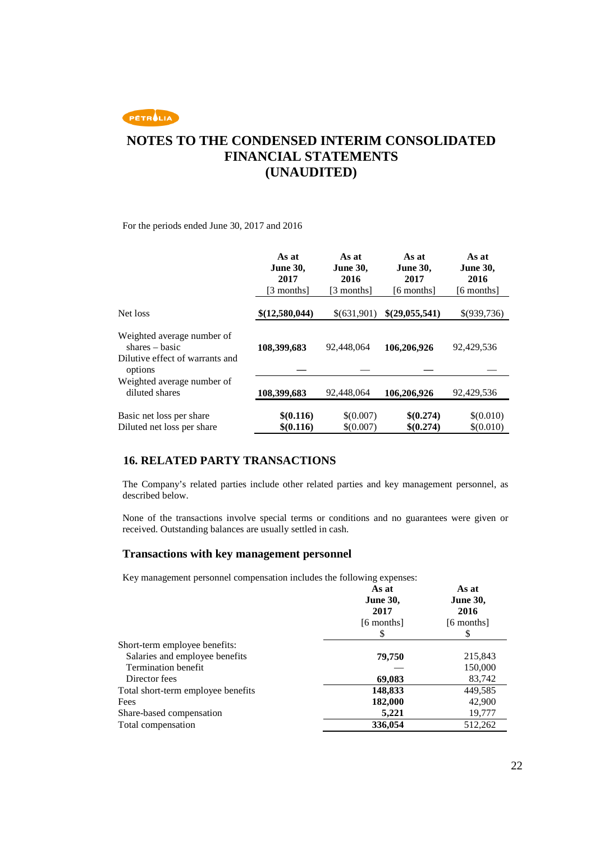PETROLIA

## **NOTES TO THE CONDENSED INTERIM CONSOLIDATED FINANCIAL STATEMENTS (UNAUDITED)**

For the periods ended June 30, 2017 and 2016

|                                                                                              | As at<br><b>June 30,</b><br>2017<br>[3 months] | As at<br><b>June 30,</b><br>2016<br>[3 months] | As at<br><b>June 30,</b><br>2017<br>[6 months] | As at<br><b>June 30,</b><br>2016<br>[6 months] |
|----------------------------------------------------------------------------------------------|------------------------------------------------|------------------------------------------------|------------------------------------------------|------------------------------------------------|
| Net loss                                                                                     | \$(12,580,044)                                 | \$(631,901)                                    | \$(29,055,541)                                 | \$(939,736)                                    |
| Weighted average number of<br>$shares - basic$<br>Dilutive effect of warrants and<br>options | 108,399,683                                    | 92,448,064                                     | 106,206,926                                    | 92,429,536                                     |
| Weighted average number of<br>diluted shares                                                 | 108,399,683                                    | 92,448,064                                     | 106,206,926                                    | 92,429,536                                     |
| Basic net loss per share<br>Diluted net loss per share                                       | \$(0.116)<br>\$0.116\$                         | \$(0.007)<br>\$(0.007)                         | \$(0.274)<br>\$(0.274)                         | \$(0.010)<br>\$(0.010)                         |

### **16. RELATED PARTY TRANSACTIONS**

The Company's related parties include other related parties and key management personnel, as described below.

None of the transactions involve special terms or conditions and no guarantees were given or received. Outstanding balances are usually settled in cash.

#### **Transactions with key management personnel**

Key management personnel compensation includes the following expenses:

|                                    | As at<br><b>June 30,</b><br>2017<br>[6 months]<br>S | As at<br><b>June 30,</b><br>2016<br>[6 months] |
|------------------------------------|-----------------------------------------------------|------------------------------------------------|
| Short-term employee benefits:      |                                                     |                                                |
| Salaries and employee benefits     | 79,750                                              | 215,843                                        |
| Termination benefit                |                                                     | 150,000                                        |
| Director fees                      | 69,083                                              | 83,742                                         |
| Total short-term employee benefits | 148,833                                             | 449,585                                        |
| Fees                               | 182,000                                             | 42,900                                         |
| Share-based compensation           | 5,221                                               | 19,777                                         |
| Total compensation                 | 336,054                                             | 512,262                                        |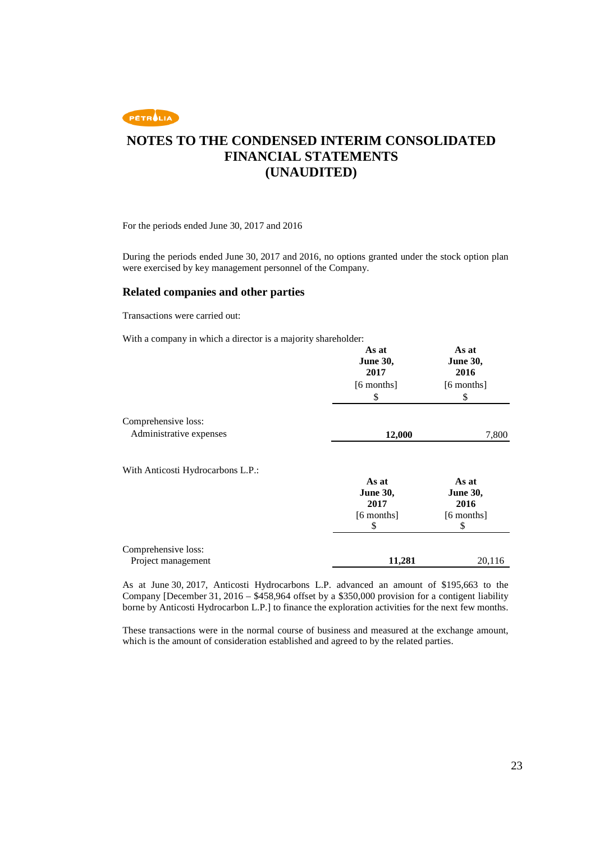

For the periods ended June 30, 2017 and 2016

During the periods ended June 30, 2017 and 2016, no options granted under the stock option plan were exercised by key management personnel of the Company.

#### **Related companies and other parties**

Transactions were carried out:

With a company in which a director is a majority shareholder:

|                                   | As at<br><b>June 30,</b><br>2017 | As at<br><b>June 30,</b><br>2016 |
|-----------------------------------|----------------------------------|----------------------------------|
|                                   | $[6$ months $]$<br>\$            | $[6$ months $]$<br>\$            |
| Comprehensive loss:               |                                  |                                  |
| Administrative expenses           | 12,000                           | 7,800                            |
| With Anticosti Hydrocarbons L.P.: | As at<br><b>June 30,</b><br>2017 | As at<br><b>June 30,</b><br>2016 |
|                                   | $[6$ months $]$<br>\$            | $[6$ months]<br>\$               |
| Comprehensive loss:               |                                  |                                  |
| Project management                | 11,281                           | 20,116                           |

As at June 30, 2017, Anticosti Hydrocarbons L.P. advanced an amount of \$195,663 to the Company [December 31, 2016 – \$458,964 offset by a \$350,000 provision for a contigent liability borne by Anticosti Hydrocarbon L.P.] to finance the exploration activities for the next few months.

These transactions were in the normal course of business and measured at the exchange amount, which is the amount of consideration established and agreed to by the related parties.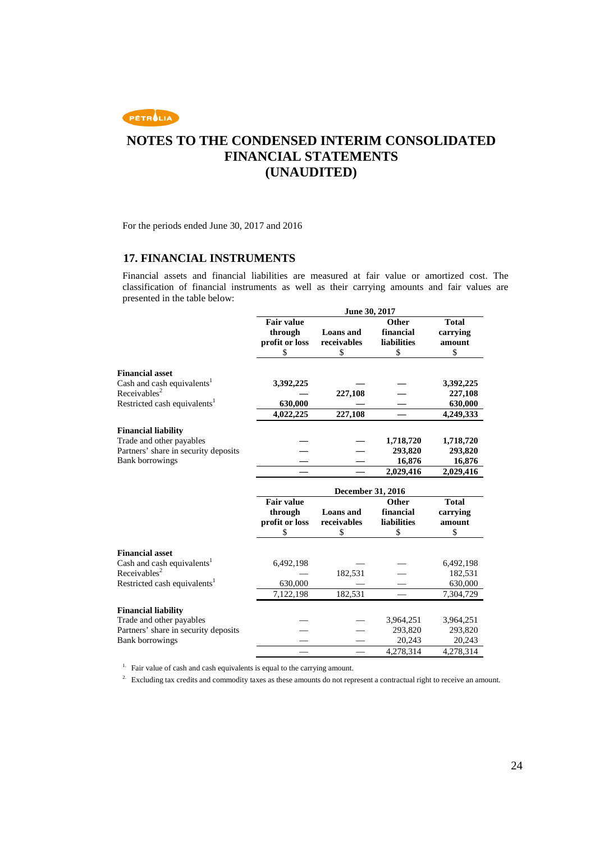

For the periods ended June 30, 2017 and 2016

### **17. FINANCIAL INSTRUMENTS**

Financial assets and financial liabilities are measured at fair value or amortized cost. The classification of financial instruments as well as their carrying amounts and fair values are presented in the table below:

|                                                                    |                   | June 30, 2017            |                    |              |
|--------------------------------------------------------------------|-------------------|--------------------------|--------------------|--------------|
|                                                                    | <b>Fair value</b> |                          | Other              | <b>Total</b> |
|                                                                    | through           | <b>Loans</b> and         | financial          | carrying     |
|                                                                    | profit or loss    | receivables              | <b>liabilities</b> | amount       |
|                                                                    | \$                | \$                       | \$                 | \$           |
|                                                                    |                   |                          |                    |              |
| <b>Financial asset</b>                                             |                   |                          |                    |              |
| Cash and cash equivalents <sup>1</sup><br>Receivables <sup>2</sup> | 3,392,225         |                          |                    | 3,392,225    |
|                                                                    |                   | 227,108                  |                    | 227,108      |
| Restricted cash equivalents <sup>1</sup>                           | 630,000           |                          |                    | 630,000      |
|                                                                    | 4,022,225         | 227,108                  |                    | 4,249,333    |
| <b>Financial liability</b>                                         |                   |                          |                    |              |
| Trade and other payables                                           |                   |                          | 1,718,720          | 1,718,720    |
| Partners' share in security deposits                               |                   |                          | 293,820            | 293,820      |
| <b>Bank borrowings</b>                                             |                   |                          | 16,876             | 16,876       |
|                                                                    |                   |                          | 2,029,416          | 2,029,416    |
|                                                                    |                   | <b>December 31, 2016</b> |                    |              |
|                                                                    | <b>Fair value</b> |                          | Other              | <b>Total</b> |
|                                                                    | through           | <b>Loans</b> and         | financial          | carrying     |
|                                                                    |                   | receivables              | <b>liabilities</b> | amount       |
|                                                                    | profit or loss    |                          |                    |              |
|                                                                    | \$                | \$                       | \$                 | \$           |
|                                                                    |                   |                          |                    |              |
| <b>Financial asset</b>                                             |                   |                          |                    |              |
| Cash and cash equivalents <sup>1</sup>                             | 6,492,198         |                          |                    | 6,492,198    |
| Receivables <sup>2</sup>                                           |                   | 182,531                  |                    | 182,531      |
| Restricted cash equivalents <sup>1</sup>                           | 630,000           |                          |                    | 630,000      |
|                                                                    | 7,122,198         | 182,531                  |                    | 7,304,729    |
| <b>Financial liability</b>                                         |                   |                          |                    |              |
| Trade and other payables                                           |                   |                          | 3,964,251          | 3,964,251    |
| Partners' share in security deposits                               |                   |                          | 293,820            | 293,820      |
| <b>Bank borrowings</b>                                             |                   |                          | 20,243             | 20,243       |

<sup>1.</sup> Fair value of cash and cash equivalents is equal to the carrying amount.

<sup>2.</sup> Excluding tax credits and commodity taxes as these amounts do not represent a contractual right to receive an amount.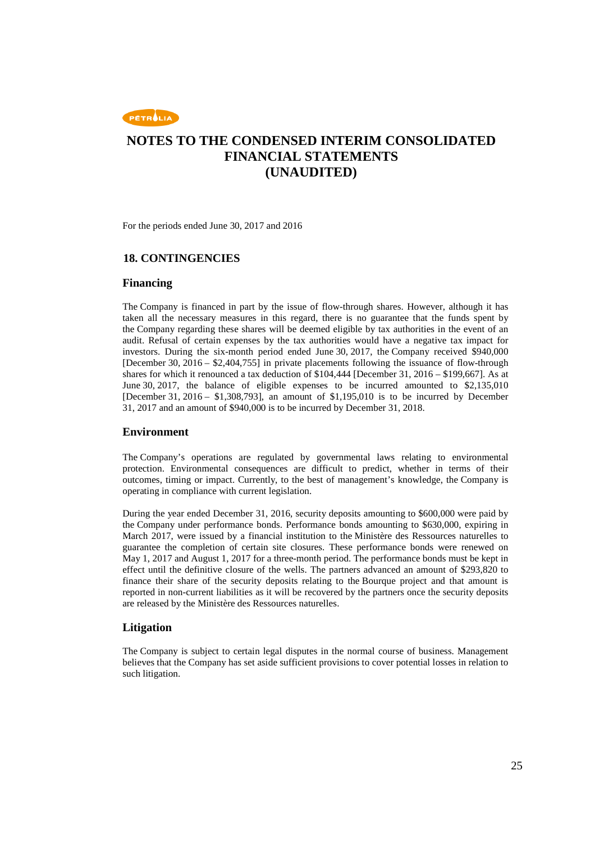

For the periods ended June 30, 2017 and 2016

### **18. CONTINGENCIES**

#### **Financing**

The Company is financed in part by the issue of flow-through shares. However, although it has taken all the necessary measures in this regard, there is no guarantee that the funds spent by the Company regarding these shares will be deemed eligible by tax authorities in the event of an audit. Refusal of certain expenses by the tax authorities would have a negative tax impact for investors. During the six-month period ended June 30, 2017, the Company received \$940,000 [December 30,  $2016 - $2,404,755$ ] in private placements following the issuance of flow-through shares for which it renounced a tax deduction of \$104,444 [December 31, 2016 – \$199,667]. As at June 30, 2017, the balance of eligible expenses to be incurred amounted to \$2,135,010 [December 31, 2016 – \$1,308,793], an amount of \$1,195,010 is to be incurred by December 31, 2017 and an amount of \$940,000 is to be incurred by December 31, 2018.

#### **Environment**

The Company's operations are regulated by governmental laws relating to environmental protection. Environmental consequences are difficult to predict, whether in terms of their outcomes, timing or impact. Currently, to the best of management's knowledge, the Company is operating in compliance with current legislation.

During the year ended December 31, 2016, security deposits amounting to \$600,000 were paid by the Company under performance bonds. Performance bonds amounting to \$630,000, expiring in March 2017, were issued by a financial institution to the Ministère des Ressources naturelles to guarantee the completion of certain site closures. These performance bonds were renewed on May 1, 2017 and August 1, 2017 for a three-month period. The performance bonds must be kept in effect until the definitive closure of the wells. The partners advanced an amount of \$293,820 to finance their share of the security deposits relating to the Bourque project and that amount is reported in non-current liabilities as it will be recovered by the partners once the security deposits are released by the Ministère des Ressources naturelles.

### **Litigation**

The Company is subject to certain legal disputes in the normal course of business. Management believes that the Company has set aside sufficient provisions to cover potential losses in relation to such litigation.